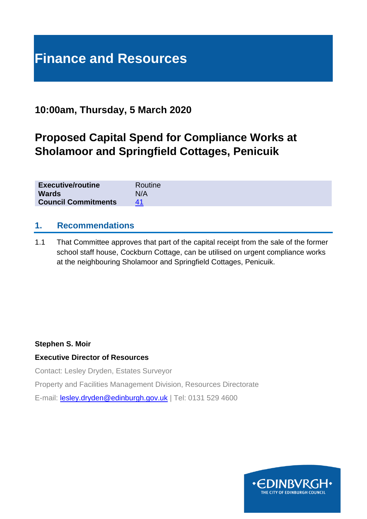# **Finance and Resources**

# **10:00am, Thursday, 5 March 2020**

# **Proposed Capital Spend for Compliance Works at Sholamoor and Springfield Cottages, Penicuik**

| <b>Executive/routine</b>   | Routine |
|----------------------------|---------|
| <b>Wards</b>               | N/A     |
| <b>Council Commitments</b> |         |

#### **1. Recommendations**

1.1 That Committee approves that part of the capital receipt from the sale of the former school staff house, Cockburn Cottage, can be utilised on urgent compliance works at the neighbouring Sholamoor and Springfield Cottages, Penicuik.

#### **Stephen S. Moir**

#### **Executive Director of Resources**

Contact: Lesley Dryden, Estates Surveyor

Property and Facilities Management Division, Resources Directorate

E-mail: [lesley.dryden@edinburgh.gov.uk](mailto:lesley.dryden@edinburgh.gov.uk) | Tel: 0131 529 4600

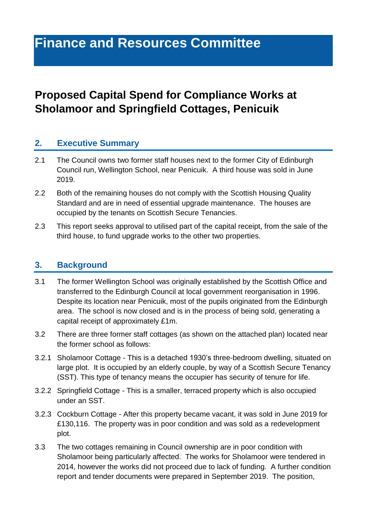# **Finance and Resources Committee**

# **Proposed Capital Spend for Compliance Works at Sholamoor and Springfield Cottages, Penicuik**

#### **2. Executive Summary**

- 2.1 The Council owns two former staff houses next to the former City of Edinburgh Council run, Wellington School, near Penicuik. A third house was sold in June 2019.
- 2.2 Both of the remaining houses do not comply with the Scottish Housing Quality Standard and are in need of essential upgrade maintenance. The houses are occupied by the tenants on Scottish Secure Tenancies.
- 2.3 This report seeks approval to utilised part of the capital receipt, from the sale of the third house, to fund upgrade works to the other two properties.

## **3. Background**

- 3.1 The former Wellington School was originally established by the Scottish Office and transferred to the Edinburgh Council at local government reorganisation in 1996. Despite its location near Penicuik, most of the pupils originated from the Edinburgh area. The school is now closed and is in the process of being sold, generating a capital receipt of approximately £1m.
- 3.2 There are three former staff cottages (as shown on the attached plan) located near the former school as follows:
- 3.2.1 Sholamoor Cottage This is a detached 1930's three-bedroom dwelling, situated on large plot. It is occupied by an elderly couple, by way of a Scottish Secure Tenancy (SST). This type of tenancy means the occupier has security of tenure for life.
- 3.2.2 Springfield Cottage This is a smaller, terraced property which is also occupied under an SST.
- 3.2.3 Cockburn Cottage After this property became vacant, it was sold in June 2019 for £130,116. The property was in poor condition and was sold as a redevelopment plot.
- 3.3 The two cottages remaining in Council ownership are in poor condition with Sholamoor being particularly affected. The works for Sholamoor were tendered in 2014, however the works did not proceed due to lack of funding. A further condition report and tender documents were prepared in September 2019. The position,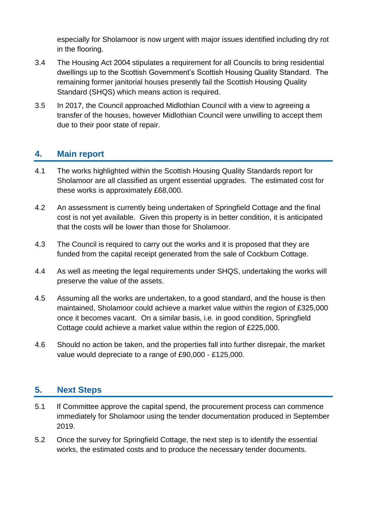especially for Sholamoor is now urgent with major issues identified including dry rot in the flooring.

- 3.4 The Housing Act 2004 stipulates a requirement for all Councils to bring residential dwellings up to the Scottish Government's Scottish Housing Quality Standard. The remaining former janitorial houses presently fail the Scottish Housing Quality Standard (SHQS) which means action is required.
- 3.5 In 2017, the Council approached Midlothian Council with a view to agreeing a transfer of the houses, however Midlothian Council were unwilling to accept them due to their poor state of repair.

## **4. Main report**

- 4.1 The works highlighted within the Scottish Housing Quality Standards report for Sholamoor are all classified as urgent essential upgrades. The estimated cost for these works is approximately £68,000.
- 4.2 An assessment is currently being undertaken of Springfield Cottage and the final cost is not yet available. Given this property is in better condition, it is anticipated that the costs will be lower than those for Sholamoor.
- 4.3 The Council is required to carry out the works and it is proposed that they are funded from the capital receipt generated from the sale of Cockburn Cottage.
- 4.4 As well as meeting the legal requirements under SHQS, undertaking the works will preserve the value of the assets.
- 4.5 Assuming all the works are undertaken, to a good standard, and the house is then maintained, Sholamoor could achieve a market value within the region of £325,000 once it becomes vacant. On a similar basis, i.e. in good condition, Springfield Cottage could achieve a market value within the region of £225,000.
- 4.6 Should no action be taken, and the properties fall into further disrepair, the market value would depreciate to a range of £90,000 - £125,000.

# **5. Next Steps**

- 5.1 If Committee approve the capital spend, the procurement process can commence immediately for Sholamoor using the tender documentation produced in September 2019.
- 5.2 Once the survey for Springfield Cottage, the next step is to identify the essential works, the estimated costs and to produce the necessary tender documents.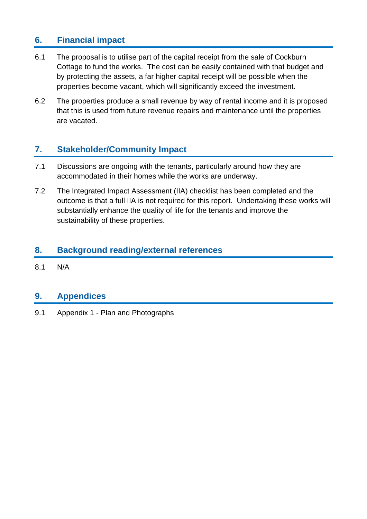# **6. Financial impact**

- 6.1 The proposal is to utilise part of the capital receipt from the sale of Cockburn Cottage to fund the works. The cost can be easily contained with that budget and by protecting the assets, a far higher capital receipt will be possible when the properties become vacant, which will significantly exceed the investment.
- 6.2 The properties produce a small revenue by way of rental income and it is proposed that this is used from future revenue repairs and maintenance until the properties are vacated.

# **7. Stakeholder/Community Impact**

- 7.1 Discussions are ongoing with the tenants, particularly around how they are accommodated in their homes while the works are underway.
- 7.2 The Integrated Impact Assessment (IIA) checklist has been completed and the outcome is that a full IIA is not required for this report. Undertaking these works will substantially enhance the quality of life for the tenants and improve the sustainability of these properties.

## **8. Background reading/external references**

8.1 N/A

## **9. Appendices**

9.1 Appendix 1 - Plan and Photographs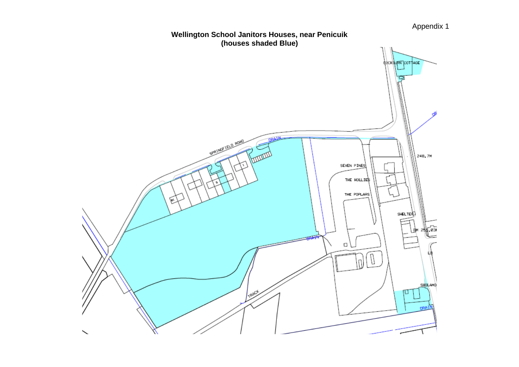